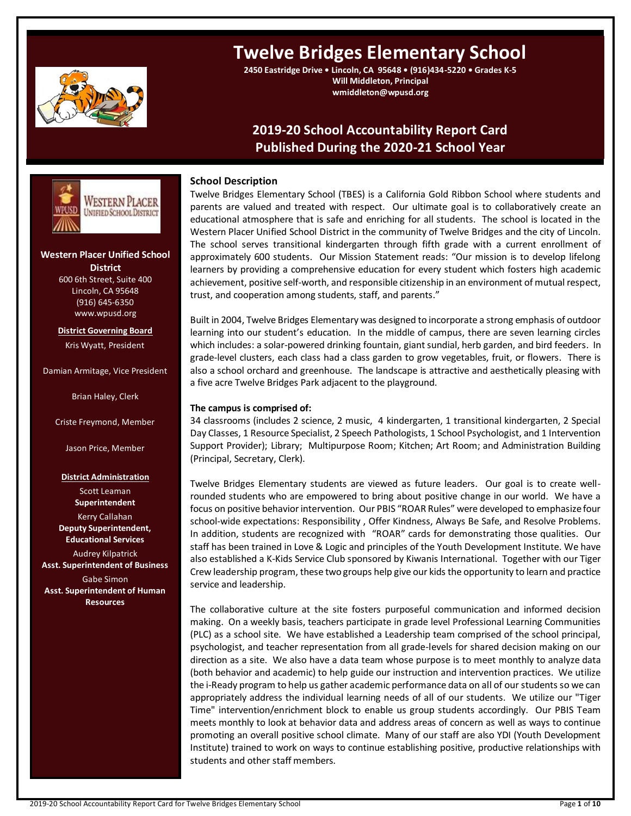

# **Twelve Bridges Elementary School**

**2450 Eastridge Drive • Lincoln, CA 95648 • (916)434-5220 • Grades K-5 Will Middleton, Principal wmiddleton@wpusd.org**

# **2019-20 School Accountability Report Card Published During the 2020-21 School Year**



Twelve Bridges Elementary School (TBES) is a California Gold Ribbon School where students and parents are valued and treated with respect. Our ultimate goal is to collaboratively create an educational atmosphere that is safe and enriching for all students. The school is located in the Western Placer Unified School District in the community of Twelve Bridges and the city of Lincoln. The school serves transitional kindergarten through fifth grade with a current enrollment of approximately 600 students. Our Mission Statement reads: "Our mission is to develop lifelong learners by providing a comprehensive education for every student which fosters high academic achievement, positive self-worth, and responsible citizenship in an environment of mutual respect, trust, and cooperation among students, staff, and parents."

Built in 2004, Twelve Bridges Elementary was designed to incorporate a strong emphasis of outdoor learning into our student's education. In the middle of campus, there are seven learning circles which includes: a solar-powered drinking fountain, giant sundial, herb garden, and bird feeders. In grade-level clusters, each class had a class garden to grow vegetables, fruit, or flowers. There is also a school orchard and greenhouse. The landscape is attractive and aesthetically pleasing with a five acre Twelve Bridges Park adjacent to the playground.

### **The campus is comprised of:**

34 classrooms (includes 2 science, 2 music, 4 kindergarten, 1 transitional kindergarten, 2 Special Day Classes, 1 Resource Specialist, 2 Speech Pathologists, 1 School Psychologist, and 1 Intervention Support Provider); Library; Multipurpose Room; Kitchen; Art Room; and Administration Building (Principal, Secretary, Clerk).

Twelve Bridges Elementary students are viewed as future leaders. Our goal is to create wellrounded students who are empowered to bring about positive change in our world. We have a focus on positive behavior intervention. Our PBIS "ROAR Rules" were developed to emphasize four school-wide expectations: Responsibility , Offer Kindness, Always Be Safe, and Resolve Problems. In addition, students are recognized with "ROAR" cards for demonstrating those qualities. Our staff has been trained in Love & Logic and principles of the Youth Development Institute. We have also established a K-Kids Service Club sponsored by Kiwanis International. Together with our Tiger Crew leadership program, these two groups help give our kids the opportunity to learn and practice service and leadership.

The collaborative culture at the site fosters purposeful communication and informed decision making. On a weekly basis, teachers participate in grade level Professional Learning Communities (PLC) as a school site. We have established a Leadership team comprised of the school principal, psychologist, and teacher representation from all grade-levels for shared decision making on our direction as a site. We also have a data team whose purpose is to meet monthly to analyze data (both behavior and academic) to help guide our instruction and intervention practices. We utilize the i-Ready program to help us gather academic performance data on all of our students so we can appropriately address the individual learning needs of all of our students. We utilize our "Tiger Time" intervention/enrichment block to enable us group students accordingly. Our PBIS Team meets monthly to look at behavior data and address areas of concern as well as ways to continue promoting an overall positive school climate. Many of our staff are also YDI (Youth Development Institute) trained to work on ways to continue establishing positive, productive relationships with students and other staff members.

WESTERN PLACER **UNIFIED SCHOOL DISTRICT ---- ---**

# **Western Placer Unified School District**

600 6th Street, Suite 400 Lincoln, CA 95648 (916) 645-6350 www.wpusd.org

**District Governing Board** Kris Wyatt, President

Damian Armitage, Vice President

Brian Haley, Clerk

Criste Freymond, Member

Jason Price, Member

**District Administration**

Scott Leaman **Superintendent**

Kerry Callahan **Deputy Superintendent, Educational Services**

Audrey Kilpatrick **Asst. Superintendent of Business** Gabe Simon

**Asst. Superintendent of Human Resources**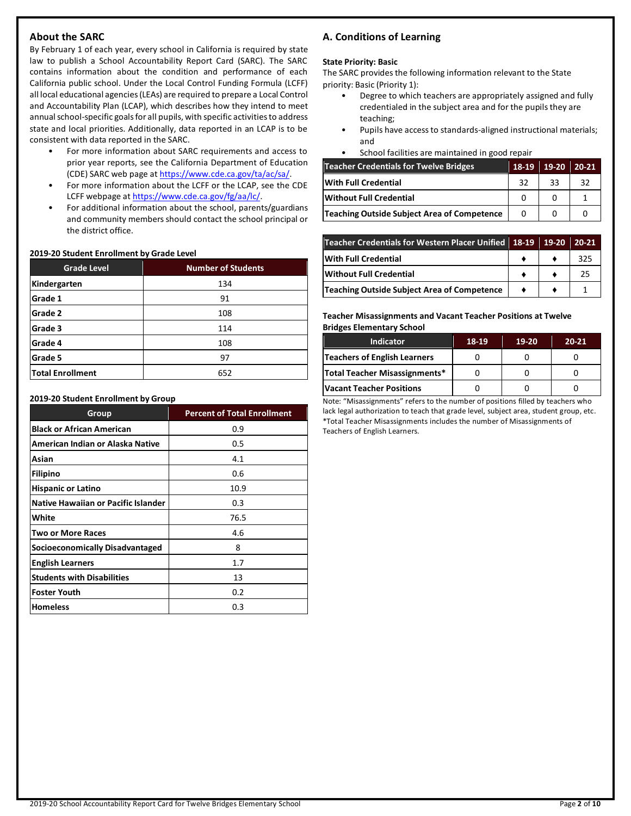### **About the SARC**

By February 1 of each year, every school in California is required by state law to publish a School Accountability Report Card (SARC). The SARC contains information about the condition and performance of each California public school. Under the Local Control Funding Formula (LCFF) all local educational agencies (LEAs) are required to prepare a Local Control and Accountability Plan (LCAP), which describes how they intend to meet annual school-specific goals for all pupils, with specific activities to address state and local priorities. Additionally, data reported in an LCAP is to be consistent with data reported in the SARC.

- For more information about SARC requirements and access to prior year reports, see the California Department of Education (CDE) SARC web page at [https://www.cde.ca.gov/ta/ac/sa/.](https://www.cde.ca.gov/ta/ac/sa/)
- For more information about the LCFF or the LCAP, see the CDE LCFF webpage a[t https://www.cde.ca.gov/fg/aa/lc/.](https://www.cde.ca.gov/fg/aa/lc/)
- For additional information about the school, parents/guardians and community members should contact the school principal or the district office.

### **2019-20 Student Enrollment by Grade Level**

| <b>Grade Level</b>      | <b>Number of Students</b> |
|-------------------------|---------------------------|
| Kindergarten            | 134                       |
| Grade 1                 | 91                        |
| Grade 2                 | 108                       |
| Grade 3                 | 114                       |
| Grade 4                 | 108                       |
| Grade 5                 | 97                        |
| <b>Total Enrollment</b> | 652                       |

#### **2019-20 Student Enrollment by Group**

| Group                               | <b>Percent of Total Enrollment</b> |
|-------------------------------------|------------------------------------|
| <b>Black or African American</b>    | 0.9                                |
| American Indian or Alaska Native    | 0.5                                |
| Asian                               | 4.1                                |
| <b>Filipino</b>                     | 0.6                                |
| <b>Hispanic or Latino</b>           | 10.9                               |
| Native Hawaiian or Pacific Islander | 0.3                                |
| White                               | 76.5                               |
| <b>Two or More Races</b>            | 4.6                                |
| Socioeconomically Disadvantaged     | 8                                  |
| <b>English Learners</b>             | 1.7                                |
| <b>Students with Disabilities</b>   | 13                                 |
| <b>Foster Youth</b>                 | 0.2                                |
| <b>Homeless</b>                     | 0.3                                |

## **A. Conditions of Learning**

### **State Priority: Basic**

The SARC provides the following information relevant to the State priority: Basic (Priority 1):

- Degree to which teachers are appropriately assigned and fully credentialed in the subject area and for the pupils they are teaching;
- Pupils have access to standards-aligned instructional materials; and
- School facilities are maintained in good repair

| <b>Teacher Credentials for Twelve Bridges</b> | 18-19 | 19-20 | $20-21$ |
|-----------------------------------------------|-------|-------|---------|
| With Full Credential                          | 32    | 33    | 32      |
| Without Full Credential                       |       |       |         |
| Teaching Outside Subject Area of Competence   | 0     |       |         |

| Teacher Credentials for Western Placer Unified 18-19 19-20 20-21 |  |     |
|------------------------------------------------------------------|--|-----|
| <b>With Full Credential</b>                                      |  | 325 |
| <b>Without Full Credential</b>                                   |  | 25  |
| <b>Teaching Outside Subject Area of Competence</b>               |  |     |

### **Teacher Misassignments and Vacant Teacher Positions at Twelve Bridges Elementary School**

| <b>Indicator</b>                | 18-19 | 19-20 | $20 - 21$ |
|---------------------------------|-------|-------|-----------|
| Teachers of English Learners    |       |       |           |
| Total Teacher Misassignments*   |       |       |           |
| <b>Vacant Teacher Positions</b> |       |       |           |

Note: "Misassignments" refers to the number of positions filled by teachers who lack legal authorization to teach that grade level, subject area, student group, etc. \*Total Teacher Misassignments includes the number of Misassignments of Teachers of English Learners.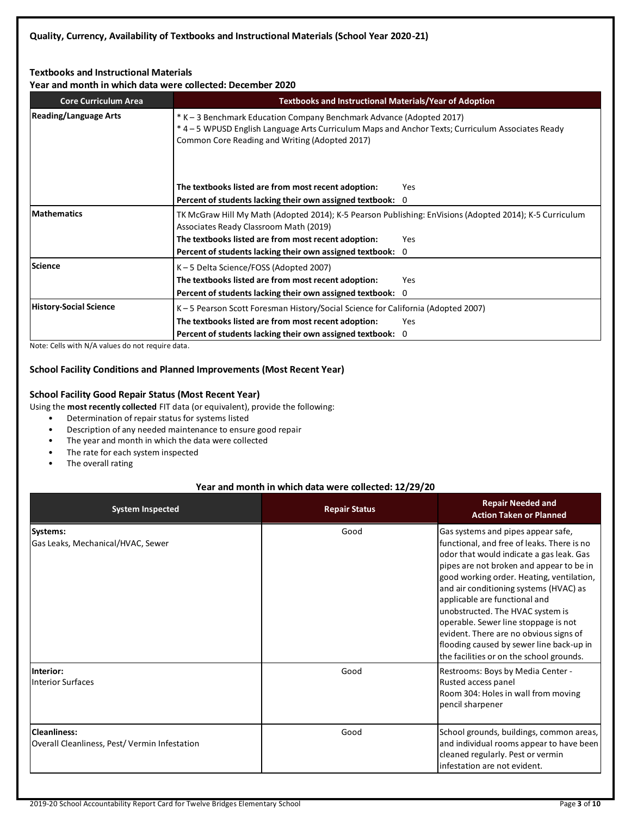### **Textbooks and Instructional Materials**

**Year and month in which data were collected: December 2020**

| <b>Core Curriculum Area</b>   | <b>Textbooks and Instructional Materials/Year of Adoption</b>                                                                                                                                                               |     |  |  |  |
|-------------------------------|-----------------------------------------------------------------------------------------------------------------------------------------------------------------------------------------------------------------------------|-----|--|--|--|
| <b>Reading/Language Arts</b>  | * K – 3 Benchmark Education Company Benchmark Advance (Adopted 2017)<br>* 4 - 5 WPUSD English Language Arts Curriculum Maps and Anchor Texts; Curriculum Associates Ready<br>Common Core Reading and Writing (Adopted 2017) |     |  |  |  |
|                               | The textbooks listed are from most recent adoption:<br>Yes                                                                                                                                                                  |     |  |  |  |
|                               | Percent of students lacking their own assigned textbook: 0                                                                                                                                                                  |     |  |  |  |
| <b>Mathematics</b>            | TK McGraw Hill My Math (Adopted 2014); K-5 Pearson Publishing: EnVisions (Adopted 2014); K-5 Curriculum<br>Associates Ready Classroom Math (2019)                                                                           |     |  |  |  |
|                               | The textbooks listed are from most recent adoption:                                                                                                                                                                         | Yes |  |  |  |
|                               | Percent of students lacking their own assigned textbook: 0                                                                                                                                                                  |     |  |  |  |
| Science                       | K-5 Delta Science/FOSS (Adopted 2007)                                                                                                                                                                                       |     |  |  |  |
|                               | The textbooks listed are from most recent adoption:                                                                                                                                                                         | Yes |  |  |  |
|                               | Percent of students lacking their own assigned textbook: 0                                                                                                                                                                  |     |  |  |  |
| <b>History-Social Science</b> | K-5 Pearson Scott Foresman History/Social Science for California (Adopted 2007)                                                                                                                                             |     |  |  |  |
|                               | The textbooks listed are from most recent adoption:<br>Yes                                                                                                                                                                  |     |  |  |  |
|                               | Percent of students lacking their own assigned textbook: 0                                                                                                                                                                  |     |  |  |  |

Note: Cells with N/A values do not require data.

### **School Facility Conditions and Planned Improvements (Most Recent Year)**

### **School Facility Good Repair Status (Most Recent Year)**

- Using the **most recently collected** FIT data (or equivalent), provide the following:
	- Determination of repair status for systems listed
	- Description of any needed maintenance to ensure good repair
	- The year and month in which the data were collected
	- The rate for each system inspected
	- The overall rating

### **Year and month in which data were collected: 12/29/20**

| <b>System Inspected</b>                                      | <b>Repair Status</b> | <b>Repair Needed and</b><br><b>Action Taken or Planned</b>                                                                                                                                                                                                                                                                                                                                                                                                                                                     |
|--------------------------------------------------------------|----------------------|----------------------------------------------------------------------------------------------------------------------------------------------------------------------------------------------------------------------------------------------------------------------------------------------------------------------------------------------------------------------------------------------------------------------------------------------------------------------------------------------------------------|
| Systems:<br>Gas Leaks, Mechanical/HVAC, Sewer                | Good                 | Gas systems and pipes appear safe,<br>functional, and free of leaks. There is no<br>odor that would indicate a gas leak. Gas<br>pipes are not broken and appear to be in<br>good working order. Heating, ventilation,<br>and air conditioning systems (HVAC) as<br>applicable are functional and<br>unobstructed. The HVAC system is<br>operable. Sewer line stoppage is not<br>evident. There are no obvious signs of<br>flooding caused by sewer line back-up in<br>the facilities or on the school grounds. |
| Interior:<br><b>Interior Surfaces</b>                        | Good                 | Restrooms: Boys by Media Center -<br>Rusted access panel<br>Room 304: Holes in wall from moving<br>pencil sharpener                                                                                                                                                                                                                                                                                                                                                                                            |
| Cleanliness:<br>Overall Cleanliness, Pest/Vermin Infestation | Good                 | School grounds, buildings, common areas,<br>and individual rooms appear to have been<br>cleaned regularly. Pest or vermin<br>linfestation are not evident.                                                                                                                                                                                                                                                                                                                                                     |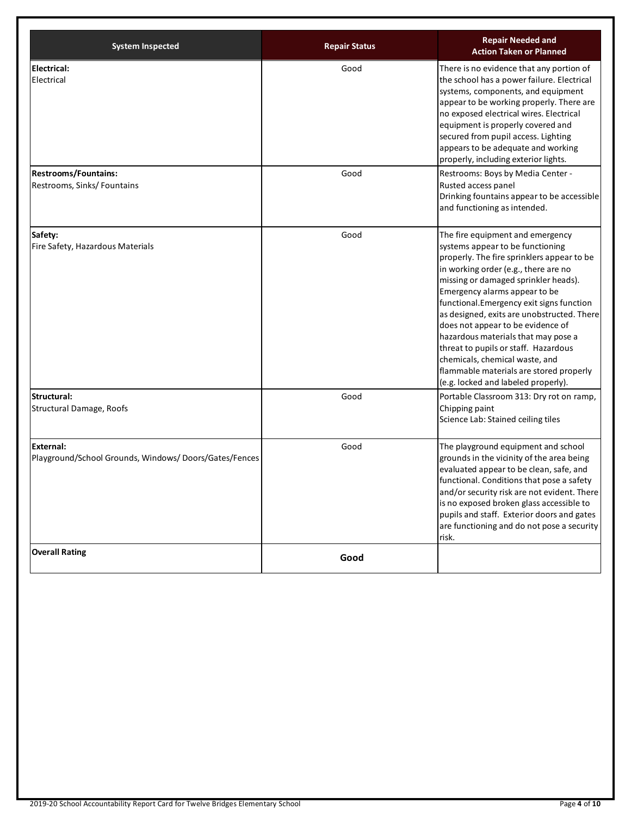| <b>System Inspected</b>                                            | <b>Repair Status</b> | <b>Repair Needed and</b><br><b>Action Taken or Planned</b>                                                                                                                                                                                                                                                                                                                                                                                                                                                                                                            |
|--------------------------------------------------------------------|----------------------|-----------------------------------------------------------------------------------------------------------------------------------------------------------------------------------------------------------------------------------------------------------------------------------------------------------------------------------------------------------------------------------------------------------------------------------------------------------------------------------------------------------------------------------------------------------------------|
| <b>Electrical:</b><br>Electrical                                   | Good                 | There is no evidence that any portion of<br>the school has a power failure. Electrical<br>systems, components, and equipment<br>appear to be working properly. There are<br>no exposed electrical wires. Electrical<br>equipment is properly covered and<br>secured from pupil access. Lighting<br>appears to be adequate and working<br>properly, including exterior lights.                                                                                                                                                                                         |
| <b>Restrooms/Fountains:</b><br>Restrooms, Sinks/ Fountains         | Good                 | Restrooms: Boys by Media Center -<br>Rusted access panel<br>Drinking fountains appear to be accessible<br>and functioning as intended.                                                                                                                                                                                                                                                                                                                                                                                                                                |
| Safety:<br>Fire Safety, Hazardous Materials                        | Good                 | The fire equipment and emergency<br>systems appear to be functioning<br>properly. The fire sprinklers appear to be<br>in working order (e.g., there are no<br>missing or damaged sprinkler heads).<br>Emergency alarms appear to be<br>functional.Emergency exit signs function<br>as designed, exits are unobstructed. There<br>does not appear to be evidence of<br>hazardous materials that may pose a<br>threat to pupils or staff. Hazardous<br>chemicals, chemical waste, and<br>flammable materials are stored properly<br>(e.g. locked and labeled properly). |
| Structural:<br>Structural Damage, Roofs                            | Good                 | Portable Classroom 313: Dry rot on ramp,<br>Chipping paint<br>Science Lab: Stained ceiling tiles                                                                                                                                                                                                                                                                                                                                                                                                                                                                      |
| External:<br>Playground/School Grounds, Windows/Doors/Gates/Fences | Good                 | The playground equipment and school<br>grounds in the vicinity of the area being<br>evaluated appear to be clean, safe, and<br>functional. Conditions that pose a safety<br>and/or security risk are not evident. There<br>is no exposed broken glass accessible to<br>pupils and staff. Exterior doors and gates<br>are functioning and do not pose a security<br>risk.                                                                                                                                                                                              |
| <b>Overall Rating</b>                                              | Good                 |                                                                                                                                                                                                                                                                                                                                                                                                                                                                                                                                                                       |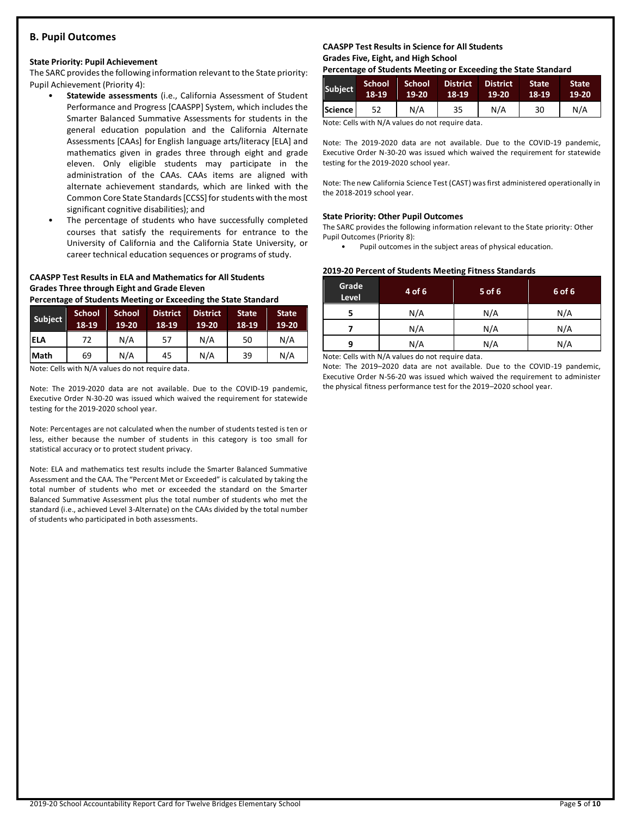### **B. Pupil Outcomes**

#### **State Priority: Pupil Achievement**

The SARC provides the following information relevant to the State priority: Pupil Achievement (Priority 4):

- **Statewide assessments** (i.e., California Assessment of Student Performance and Progress [CAASPP] System, which includes the Smarter Balanced Summative Assessments for students in the general education population and the California Alternate Assessments [CAAs] for English language arts/literacy [ELA] and mathematics given in grades three through eight and grade eleven. Only eligible students may participate in the administration of the CAAs. CAAs items are aligned with alternate achievement standards, which are linked with the Common Core State Standards [CCSS] for students with the most significant cognitive disabilities); and
- The percentage of students who have successfully completed courses that satisfy the requirements for entrance to the University of California and the California State University, or career technical education sequences or programs of study.

### **CAASPP Test Results in ELA and Mathematics for All Students Grades Three through Eight and Grade Eleven**

**Percentage of Students Meeting or Exceeding the State Standard**

| <b>Subject</b> | <b>School</b><br>18-19 | <b>School</b><br>19-20 | <b>District</b><br>18-19 | <b>District</b><br>19-20 | <b>State</b><br>18-19 | <b>State</b><br>19-20 |
|----------------|------------------------|------------------------|--------------------------|--------------------------|-----------------------|-----------------------|
| <b>ELA</b>     | 72                     | N/A                    | 57                       | N/A                      | 50                    | N/A                   |
| <b>Math</b>    | 69                     | N/A                    | 45                       | N/A                      | 39                    | N/A                   |

Note: Cells with N/A values do not require data.

Note: The 2019-2020 data are not available. Due to the COVID-19 pandemic, Executive Order N-30-20 was issued which waived the requirement for statewide testing for the 2019-2020 school year.

Note: Percentages are not calculated when the number of students tested is ten or less, either because the number of students in this category is too small for statistical accuracy or to protect student privacy.

Note: ELA and mathematics test results include the Smarter Balanced Summative Assessment and the CAA. The "Percent Met or Exceeded" is calculated by taking the total number of students who met or exceeded the standard on the Smarter Balanced Summative Assessment plus the total number of students who met the standard (i.e., achieved Level 3-Alternate) on the CAAs divided by the total number of students who participated in both assessments.

### **CAASPP Test Results in Science for All Students Grades Five, Eight, and High School**

**Percentage of Students Meeting or Exceeding the State Standard**

| <b>Subject</b> | <b>School</b><br>18-19 | School<br>19-20 | <b>District</b><br>18-19 | <b>District</b><br>19-20 | State<br>18-19 | <b>State</b><br>$19-20$ |
|----------------|------------------------|-----------------|--------------------------|--------------------------|----------------|-------------------------|
| Science        |                        | N/A             | 35                       | N/A                      | 30             | N/A                     |

Note: Cells with N/A values do not require data.

Note: The 2019-2020 data are not available. Due to the COVID-19 pandemic, Executive Order N-30-20 was issued which waived the requirement for statewide testing for the 2019-2020 school year.

Note: The new California Science Test (CAST) was first administered operationally in the 2018-2019 school year.

#### **State Priority: Other Pupil Outcomes**

The SARC provides the following information relevant to the State priority: Other Pupil Outcomes (Priority 8):

Pupil outcomes in the subject areas of physical education.

#### **2019-20 Percent of Students Meeting Fitness Standards**

| Grade<br>Level | 4 of 6 | $5$ of 6 | 6 of 6 |
|----------------|--------|----------|--------|
|                | N/A    | N/A      | N/A    |
| N/A            |        | N/A      | N/A    |
| q              | N/A    | N/A      | N/A    |

Note: Cells with N/A values do not require data.

Note: The 2019–2020 data are not available. Due to the COVID-19 pandemic, Executive Order N-56-20 was issued which waived the requirement to administer the physical fitness performance test for the 2019–2020 school year.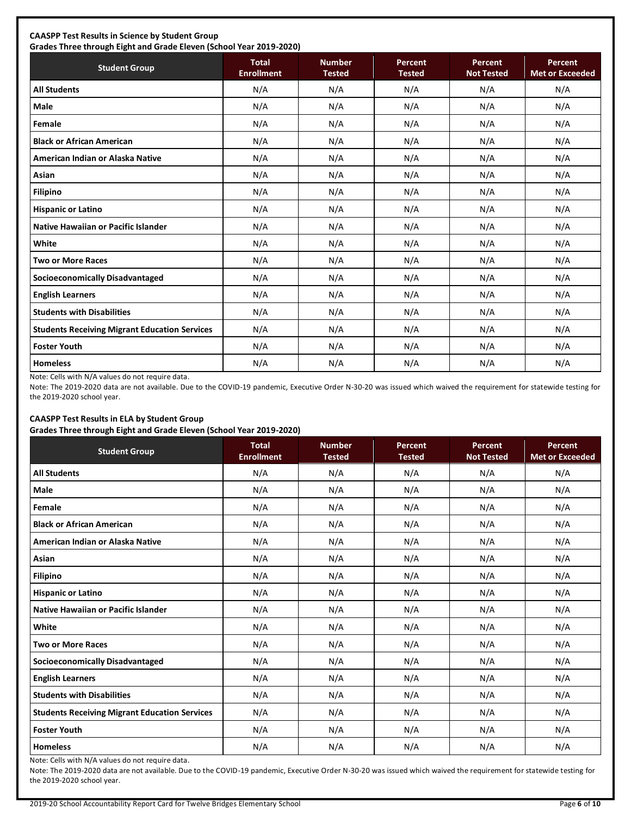### **CAASPP Test Results in Science by Student Group**

**Grades Three through Eight and Grade Eleven (School Year 2019-2020)**

| <b>Student Group</b>                                 | <b>Total</b><br><b>Enrollment</b> | <b>Number</b><br><b>Tested</b> | <b>Percent</b><br><b>Tested</b> | Percent<br><b>Not Tested</b> | Percent<br><b>Met or Exceeded</b> |
|------------------------------------------------------|-----------------------------------|--------------------------------|---------------------------------|------------------------------|-----------------------------------|
| <b>All Students</b>                                  | N/A                               | N/A                            | N/A                             | N/A                          | N/A                               |
| <b>Male</b>                                          | N/A                               | N/A                            | N/A                             | N/A                          | N/A                               |
| Female                                               | N/A                               | N/A                            | N/A                             | N/A                          | N/A                               |
| <b>Black or African American</b>                     | N/A                               | N/A                            | N/A                             | N/A                          | N/A                               |
| American Indian or Alaska Native                     | N/A                               | N/A                            | N/A                             | N/A                          | N/A                               |
| Asian                                                | N/A                               | N/A                            | N/A                             | N/A                          | N/A                               |
| Filipino                                             | N/A                               | N/A                            | N/A                             | N/A                          | N/A                               |
| <b>Hispanic or Latino</b>                            | N/A                               | N/A                            | N/A                             | N/A                          | N/A                               |
| Native Hawaiian or Pacific Islander                  | N/A                               | N/A                            | N/A                             | N/A                          | N/A                               |
| White                                                | N/A                               | N/A                            | N/A                             | N/A                          | N/A                               |
| <b>Two or More Races</b>                             | N/A                               | N/A                            | N/A                             | N/A                          | N/A                               |
| Socioeconomically Disadvantaged                      | N/A                               | N/A                            | N/A                             | N/A                          | N/A                               |
| <b>English Learners</b>                              | N/A                               | N/A                            | N/A                             | N/A                          | N/A                               |
| <b>Students with Disabilities</b>                    | N/A                               | N/A                            | N/A                             | N/A                          | N/A                               |
| <b>Students Receiving Migrant Education Services</b> | N/A                               | N/A                            | N/A                             | N/A                          | N/A                               |
| <b>Foster Youth</b>                                  | N/A                               | N/A                            | N/A                             | N/A                          | N/A                               |
| <b>Homeless</b>                                      | N/A                               | N/A                            | N/A                             | N/A                          | N/A                               |

Note: Cells with N/A values do not require data.

Note: The 2019-2020 data are not available. Due to the COVID-19 pandemic, Executive Order N-30-20 was issued which waived the requirement for statewide testing for the 2019-2020 school year.

### **CAASPP Test Results in ELA by Student Group**

**Grades Three through Eight and Grade Eleven (School Year 2019-2020)**

| <b>Student Group</b>                                 | <b>Total</b><br><b>Enrollment</b> | <b>Number</b><br><b>Tested</b> | Percent<br><b>Tested</b> | Percent<br><b>Not Tested</b> | Percent<br><b>Met or Exceeded</b> |
|------------------------------------------------------|-----------------------------------|--------------------------------|--------------------------|------------------------------|-----------------------------------|
| <b>All Students</b>                                  | N/A                               | N/A                            | N/A                      | N/A                          | N/A                               |
| <b>Male</b>                                          | N/A                               | N/A                            | N/A                      | N/A                          | N/A                               |
| Female                                               | N/A                               | N/A                            | N/A                      | N/A                          | N/A                               |
| <b>Black or African American</b>                     | N/A                               | N/A                            | N/A                      | N/A                          | N/A                               |
| American Indian or Alaska Native                     | N/A                               | N/A                            | N/A                      | N/A                          | N/A                               |
| Asian                                                | N/A                               | N/A                            | N/A                      | N/A                          | N/A                               |
| <b>Filipino</b>                                      | N/A                               | N/A                            | N/A                      | N/A                          | N/A                               |
| <b>Hispanic or Latino</b>                            | N/A                               | N/A                            | N/A                      | N/A                          | N/A                               |
| Native Hawaiian or Pacific Islander                  | N/A                               | N/A                            | N/A                      | N/A                          | N/A                               |
| White                                                | N/A                               | N/A                            | N/A                      | N/A                          | N/A                               |
| <b>Two or More Races</b>                             | N/A                               | N/A                            | N/A                      | N/A                          | N/A                               |
| <b>Socioeconomically Disadvantaged</b>               | N/A                               | N/A                            | N/A                      | N/A                          | N/A                               |
| <b>English Learners</b>                              | N/A                               | N/A                            | N/A                      | N/A                          | N/A                               |
| <b>Students with Disabilities</b>                    | N/A                               | N/A                            | N/A                      | N/A                          | N/A                               |
| <b>Students Receiving Migrant Education Services</b> | N/A                               | N/A                            | N/A                      | N/A                          | N/A                               |
| <b>Foster Youth</b>                                  | N/A                               | N/A                            | N/A                      | N/A                          | N/A                               |
| <b>Homeless</b>                                      | N/A                               | N/A                            | N/A                      | N/A                          | N/A                               |

Note: Cells with N/A values do not require data.

Note: The 2019-2020 data are not available. Due to the COVID-19 pandemic, Executive Order N-30-20 was issued which waived the requirement for statewide testing for the 2019-2020 school year.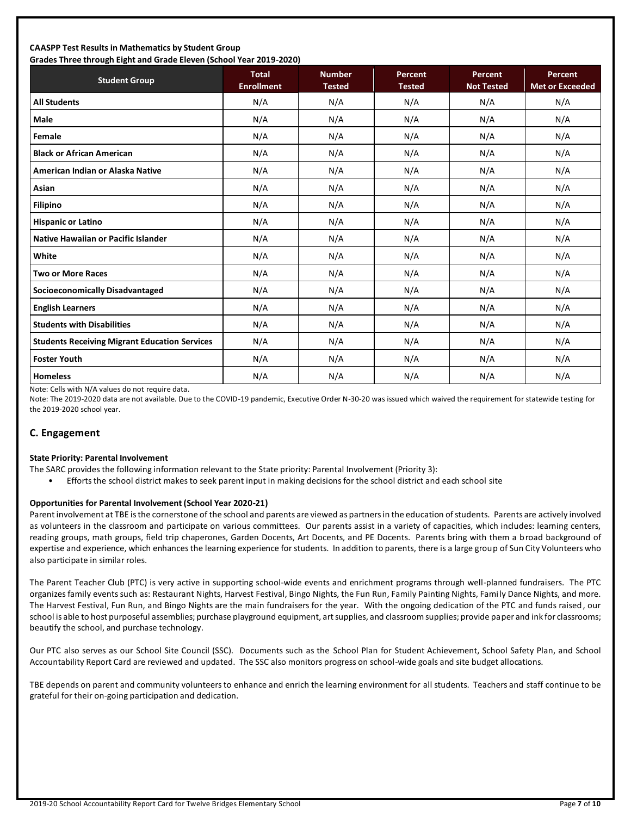#### **CAASPP Test Results in Mathematics by Student Group Grades Three through Eight and Grade Eleven (School Year 2019-2020)**

| Grades Timee through Eight and Grade Eleven (Schoor fear 2015-2020)<br><b>Student Group</b> | <b>Total</b><br><b>Enrollment</b> | <b>Number</b><br><b>Tested</b> | Percent<br><b>Tested</b> | Percent<br><b>Not Tested</b> | <b>Percent</b><br><b>Met or Exceeded</b> |
|---------------------------------------------------------------------------------------------|-----------------------------------|--------------------------------|--------------------------|------------------------------|------------------------------------------|
| <b>All Students</b>                                                                         | N/A                               | N/A                            | N/A                      | N/A                          | N/A                                      |
| <b>Male</b>                                                                                 | N/A                               | N/A                            | N/A                      | N/A                          | N/A                                      |
| Female                                                                                      | N/A                               | N/A                            | N/A                      | N/A                          | N/A                                      |
| <b>Black or African American</b>                                                            | N/A                               | N/A                            | N/A                      | N/A                          | N/A                                      |
| American Indian or Alaska Native                                                            | N/A                               | N/A                            | N/A                      | N/A                          | N/A                                      |
| Asian                                                                                       | N/A                               | N/A                            | N/A                      | N/A                          | N/A                                      |
| <b>Filipino</b>                                                                             | N/A                               | N/A                            | N/A                      | N/A                          | N/A                                      |
| <b>Hispanic or Latino</b>                                                                   | N/A                               | N/A                            | N/A                      | N/A                          | N/A                                      |
| <b>Native Hawaiian or Pacific Islander</b>                                                  | N/A                               | N/A                            | N/A                      | N/A                          | N/A                                      |
| White                                                                                       | N/A                               | N/A                            | N/A                      | N/A                          | N/A                                      |
| <b>Two or More Races</b>                                                                    | N/A                               | N/A                            | N/A                      | N/A                          | N/A                                      |
| <b>Socioeconomically Disadvantaged</b>                                                      | N/A                               | N/A                            | N/A                      | N/A                          | N/A                                      |
| <b>English Learners</b>                                                                     | N/A                               | N/A                            | N/A                      | N/A                          | N/A                                      |
| <b>Students with Disabilities</b>                                                           | N/A                               | N/A                            | N/A                      | N/A                          | N/A                                      |
| <b>Students Receiving Migrant Education Services</b>                                        | N/A                               | N/A                            | N/A                      | N/A                          | N/A                                      |
| <b>Foster Youth</b>                                                                         | N/A                               | N/A                            | N/A                      | N/A                          | N/A                                      |
| <b>Homeless</b>                                                                             | N/A                               | N/A                            | N/A                      | N/A                          | N/A                                      |

Note: Cells with N/A values do not require data.

Note: The 2019-2020 data are not available. Due to the COVID-19 pandemic, Executive Order N-30-20 was issued which waived the requirement for statewide testing for the 2019-2020 school year.

### **C. Engagement**

#### **State Priority: Parental Involvement**

- The SARC provides the following information relevant to the State priority: Parental Involvement (Priority 3):
	- Efforts the school district makes to seek parent input in making decisions for the school district and each school site

### **Opportunities for Parental Involvement (School Year 2020-21)**

Parent involvement at TBE is the cornerstone of the school and parents are viewed as partners in the education of students. Parents are actively involved as volunteers in the classroom and participate on various committees. Our parents assist in a variety of capacities, which includes: learning centers, reading groups, math groups, field trip chaperones, Garden Docents, Art Docents, and PE Docents. Parents bring with them a broad background of expertise and experience, which enhances the learning experience for students. In addition to parents, there is a large group of Sun City Volunteers who also participate in similar roles.

The Parent Teacher Club (PTC) is very active in supporting school-wide events and enrichment programs through well-planned fundraisers. The PTC organizes family events such as: Restaurant Nights, Harvest Festival, Bingo Nights, the Fun Run, Family Painting Nights, Family Dance Nights, and more. The Harvest Festival, Fun Run, and Bingo Nights are the main fundraisers for the year. With the ongoing dedication of the PTC and funds raised, our school is able to host purposeful assemblies; purchase playground equipment, art supplies, and classroom supplies; provide paper and ink for classrooms; beautify the school, and purchase technology.

Our PTC also serves as our School Site Council (SSC). Documents such as the School Plan for Student Achievement, School Safety Plan, and School Accountability Report Card are reviewed and updated. The SSC also monitors progress on school-wide goals and site budget allocations.

TBE depends on parent and community volunteers to enhance and enrich the learning environment for all students. Teachers and staff continue to be grateful for their on-going participation and dedication.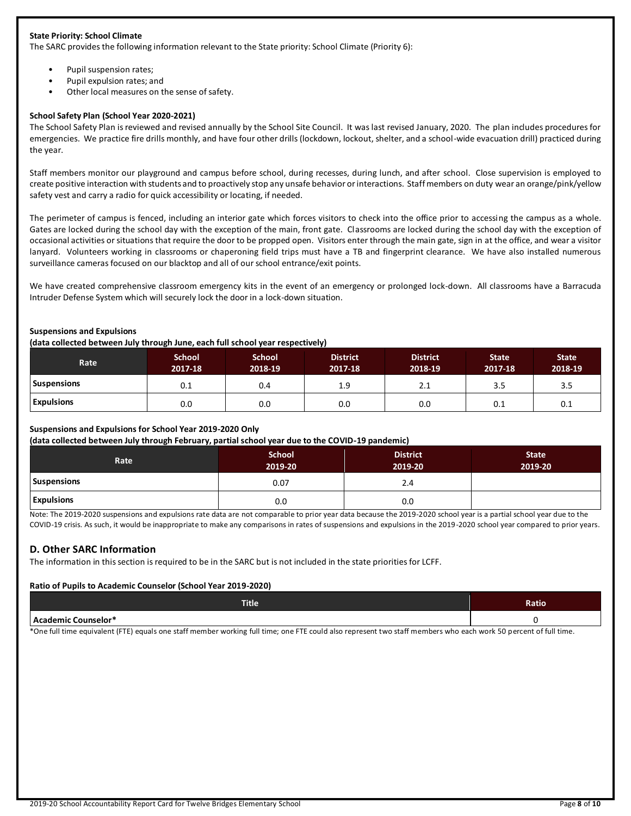### **State Priority: School Climate**

The SARC provides the following information relevant to the State priority: School Climate (Priority 6):

- Pupil suspension rates;
- Pupil expulsion rates; and
- Other local measures on the sense of safety.

#### **School Safety Plan (School Year 2020-2021)**

The School Safety Plan is reviewed and revised annually by the School Site Council. It was last revised January, 2020. The plan includes procedures for emergencies. We practice fire drills monthly, and have four other drills (lockdown, lockout, shelter, and a school-wide evacuation drill) practiced during the year.

Staff members monitor our playground and campus before school, during recesses, during lunch, and after school. Close supervision is employed to create positive interaction with students and to proactively stop any unsafe behavior or interactions. Staff members on duty wear an orange/pink/yellow safety vest and carry a radio for quick accessibility or locating, if needed.

The perimeter of campus is fenced, including an interior gate which forces visitors to check into the office prior to accessing the campus as a whole. Gates are locked during the school day with the exception of the main, front gate. Classrooms are locked during the school day with the exception of occasional activities or situations that require the door to be propped open. Visitors enter through the main gate, sign in at the office, and wear a visitor lanyard. Volunteers working in classrooms or chaperoning field trips must have a TB and fingerprint clearance. We have also installed numerous surveillance cameras focused on our blacktop and all of our school entrance/exit points.

We have created comprehensive classroom emergency kits in the event of an emergency or prolonged lock-down. All classrooms have a Barracuda Intruder Defense System which will securely lock the door in a lock-down situation.

#### **Suspensions and Expulsions**

**(data collected between July through June, each full school year respectively)**

| <b>Rate</b>        | <b>School</b><br>2017-18 | <b>School</b><br>2018-19 | <b>District</b><br>2017-18 | <b>District</b><br>2018-19 | <b>State</b><br>2017-18 | <b>State</b><br>2018-19 |
|--------------------|--------------------------|--------------------------|----------------------------|----------------------------|-------------------------|-------------------------|
| <b>Suspensions</b> | 0.1                      | 0.4                      | 1.9                        | 2.1                        | 3.5                     | 3.5                     |
| <b>Expulsions</b>  | 0.0                      | 0.0                      | 0.0                        | 0.0                        | 0.1                     | 0.1                     |

### **Suspensions and Expulsions for School Year 2019-2020 Only**

**(data collected between July through February, partial school year due to the COVID-19 pandemic)**

| __<br>.<br>Rate    | <b>School</b><br>2019-20 | <b>District</b><br>2019-20 | <b>State</b><br>2019-20 |
|--------------------|--------------------------|----------------------------|-------------------------|
| <b>Suspensions</b> | 0.07                     | 2.4                        |                         |
| <b>Expulsions</b>  | 0.0                      | 0.0                        |                         |

Note: The 2019-2020 suspensions and expulsions rate data are not comparable to prior year data because the 2019-2020 school year is a partial school year due to the COVID-19 crisis. As such, it would be inappropriate to make any comparisons in rates of suspensions and expulsions in the 2019-2020 school year compared to prior years.

### **D. Other SARC Information**

The information in this section is required to be in the SARC but is not included in the state priorities for LCFF.

#### **Ratio of Pupils to Academic Counselor (School Year 2019-2020)**

| <b>Title</b>        | Ratio |
|---------------------|-------|
| Academic Counselor* |       |

\*One full time equivalent (FTE) equals one staff member working full time; one FTE could also represent two staff members who each work 50 percent of full time.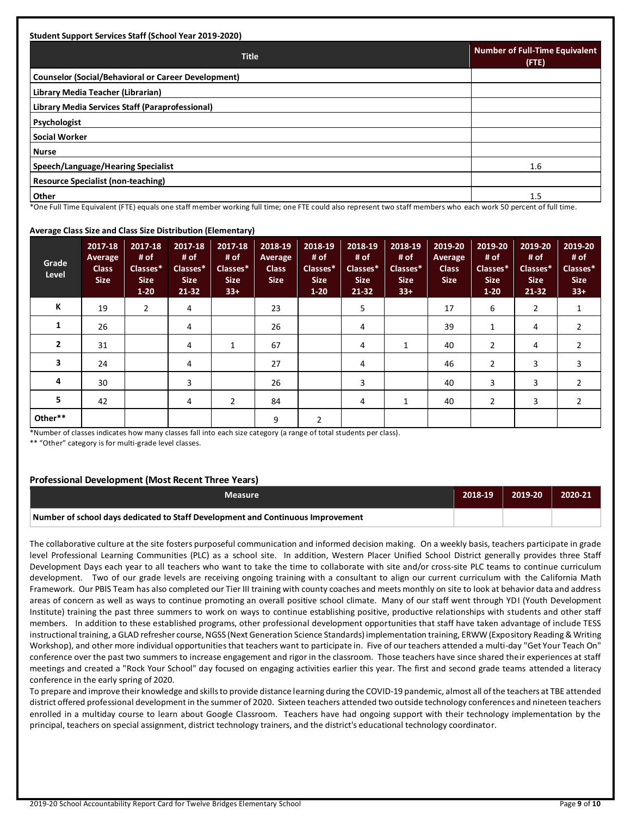| <b>Title</b>                                               | <b>Number of Full-Time Equivalent</b><br>(FTE) |
|------------------------------------------------------------|------------------------------------------------|
| <b>Counselor (Social/Behavioral or Career Development)</b> |                                                |
| Library Media Teacher (Librarian)                          |                                                |
| Library Media Services Staff (Paraprofessional)            |                                                |
| <b>Psychologist</b>                                        |                                                |
| <b>Social Worker</b>                                       |                                                |
| <b>Nurse</b>                                               |                                                |
| Speech/Language/Hearing Specialist                         | 1.6                                            |
| <b>Resource Specialist (non-teaching)</b>                  |                                                |
| Other                                                      | 1.5                                            |

#### **Average Class Size and Class Size Distribution (Elementary)**

| Grade<br>Level | 2017-18<br>Average<br><b>Class</b><br><b>Size</b> | 2017-18<br># of<br>Classes*<br><b>Size</b><br>$1 - 20$ | $\sim$<br>2017-18<br># of<br>Classes*<br><b>Size</b><br>21-32 | <br>2017-18<br># of<br>Classes*<br><b>Size</b><br>$33+$ | 2018-19<br>Average<br><b>Class</b><br><b>Size</b> | 2018-19<br># of<br>Classes*<br><b>Size</b><br>$1-20$ | 2018-19<br># of<br>Classes*<br><b>Size</b><br>$21 - 32$ | 2018-19<br># of<br>Classes*<br><b>Size</b><br>$33+$ | 2019-20<br><b>Average</b><br><b>Class</b><br><b>Size</b> | 2019-20<br># of<br>Classes*<br><b>Size</b><br>$1 - 20$ | 2019-20<br># of<br>Classes*<br><b>Size</b><br>$21 - 32$ | 2019-20<br># of<br>Classes*<br><b>Size</b><br>$33+$ |
|----------------|---------------------------------------------------|--------------------------------------------------------|---------------------------------------------------------------|---------------------------------------------------------|---------------------------------------------------|------------------------------------------------------|---------------------------------------------------------|-----------------------------------------------------|----------------------------------------------------------|--------------------------------------------------------|---------------------------------------------------------|-----------------------------------------------------|
| К              | 19                                                | $\overline{2}$                                         | 4                                                             |                                                         | 23                                                |                                                      | 5                                                       |                                                     | 17                                                       | 6                                                      | $\overline{2}$                                          |                                                     |
| 1              | 26                                                |                                                        | 4                                                             |                                                         | 26                                                |                                                      | 4                                                       |                                                     | 39                                                       | 1                                                      | 4                                                       | $\overline{2}$                                      |
| $\overline{2}$ | 31                                                |                                                        | 4                                                             | 1                                                       | 67                                                |                                                      | 4                                                       |                                                     | 40                                                       | $\overline{2}$                                         | 4                                                       | $\overline{2}$                                      |
| 3              | 24                                                |                                                        | 4                                                             |                                                         | 27                                                |                                                      | 4                                                       |                                                     | 46                                                       | $\overline{2}$                                         | 3                                                       | 3                                                   |
| 4              | 30                                                |                                                        | 3                                                             |                                                         | 26                                                |                                                      | 3                                                       |                                                     | 40                                                       | 3                                                      | 3                                                       | 2                                                   |
| 5              | 42                                                |                                                        | 4                                                             | 2                                                       | 84                                                |                                                      | 4                                                       |                                                     | 40                                                       | 2                                                      | 3                                                       | $\overline{2}$                                      |
| Other**        |                                                   |                                                        |                                                               |                                                         | 9                                                 | 2                                                    |                                                         |                                                     |                                                          |                                                        |                                                         |                                                     |

\*Number of classes indicates how many classes fall into each size category (a range of total students per class).

\*\* "Other" category is for multi-grade level classes.

### **Professional Development (Most Recent Three Years)**

| <b>Measure</b>                                                                  | 2018-19 | 2019-20 | 2020-21 |
|---------------------------------------------------------------------------------|---------|---------|---------|
| Number of school days dedicated to Staff Development and Continuous Improvement |         |         |         |

The collaborative culture at the site fosters purposeful communication and informed decision making. On a weekly basis, teachers participate in grade level Professional Learning Communities (PLC) as a school site. In addition, Western Placer Unified School District generally provides three Staff Development Days each year to all teachers who want to take the time to collaborate with site and/or cross-site PLC teams to continue curriculum development. Two of our grade levels are receiving ongoing training with a consultant to align our current curriculum with the California Math Framework. Our PBIS Team has also completed our Tier III training with county coaches and meets monthly on site to look at behavior data and address areas of concern as well as ways to continue promoting an overall positive school climate. Many of our staff went through YDI (Youth Development Institute) training the past three summers to work on ways to continue establishing positive, productive relationships with students and other staff members. In addition to these established programs, other professional development opportunities that staff have taken advantage of include TESS instructional training, a GLAD refresher course, NGSS (Next Generation Science Standards) implementation training, ERWW (Expository Reading & Writing Workshop), and other more individual opportunities that teachers want to participate in. Five of our teachers attended a multi-day "Get Your Teach On" conference over the past two summers to increase engagement and rigor in the classroom. Those teachers have since shared their experiences at staff meetings and created a "Rock Your School" day focused on engaging activities earlier this year. The first and second grade teams attended a literacy conference in the early spring of 2020.

To prepare and improve their knowledge and skills to provide distance learning during the COVID-19 pandemic, almost all of the teachers at TBE attended district offered professional development in the summer of 2020. Sixteen teachers attended two outside technology conferences and nineteen teachers enrolled in a multiday course to learn about Google Classroom. Teachers have had ongoing support with their technology implementation by the principal, teachers on special assignment, district technology trainers, and the district's educational technology coordinator.